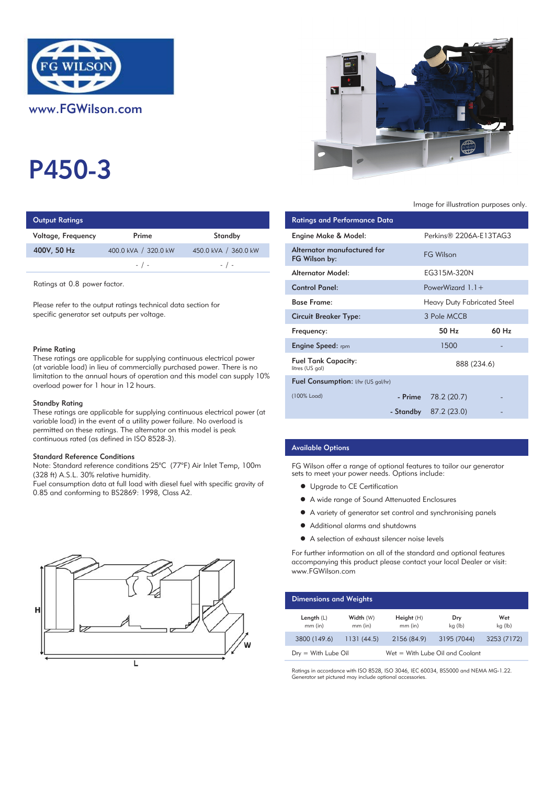

P450-3

| <b>Output Ratings</b> |                      | <b>Ratings and Performance Data</b> |                                              |
|-----------------------|----------------------|-------------------------------------|----------------------------------------------|
| Voltage, Frequency    | Prime                | Standby                             | Engine Make & Model:                         |
| 400V, 50 Hz           | 400.0 kVA / 320.0 kW | 450.0 kVA / 360.0 kW                | Alternator manufactured for<br>FG Wilson by: |
|                       | $-$ / $-$            | $-$ / $-$                           |                                              |
|                       |                      |                                     | Altoupotau AAndal:                           |

Ratings at 0.8 power factor.

Please refer to the output ratings technical data section for specific generator set outputs per voltage.

#### Prime Rating

These ratings are applicable for supplying continuous electrical power (at variable load) in lieu of commercially purchased power. There is no limitation to the annual hours of operation and this model can supply 10% overload power for 1 hour in 12 hours.

#### Standby Rating

These ratings are applicable for supplying continuous electrical power (at variable load) in the event of a utility power failure. No overload is permitted on these ratings. The alternator on this model is peak continuous rated (as defined in ISO 8528-3).

#### Standard Reference Conditions

Note: Standard reference conditions 25°C (77°F) Air Inlet Temp, 100m (328 ft) A.S.L. 30% relative humidity.

Fuel consumption data at full load with diesel fuel with specific gravity of 0.85 and conforming to BS2869: 1998, Class A2.





Image for illustration purposes only.

| <b>Ratings and Performance Data</b>           |             |                             |                   |  |
|-----------------------------------------------|-------------|-----------------------------|-------------------|--|
| Engine Make & Model:                          |             | Perkins® 2206A-E13TAG3      |                   |  |
| Alternator manufactured for<br>FG Wilson by:  |             | <b>FG Wilson</b>            |                   |  |
| Alternator Model:                             |             | EG315M-320N                 |                   |  |
| <b>Control Panel:</b>                         |             | PowerWizard $1.1 +$         |                   |  |
| <b>Base Frame:</b>                            |             | Heavy Duty Fabricated Steel |                   |  |
| <b>Circuit Breaker Type:</b>                  |             | 3 Pole MCCB                 |                   |  |
| Frequency:                                    |             | 50 H <sub>z</sub>           | 60 H <sub>z</sub> |  |
| <b>Engine Speed:</b> rpm                      |             | 1500                        |                   |  |
| <b>Fuel Tank Capacity:</b><br>litres (US gal) | 888 (234.6) |                             |                   |  |
| <b>Fuel Consumption:</b> I/hr (US gal/hr)     |             |                             |                   |  |
| (100% Load)                                   |             | $-$ Prime $78.2(20.7)$      |                   |  |
|                                               |             | - Standby $87.2(23.0)$      |                   |  |
|                                               |             |                             |                   |  |

# Available Options

FG Wilson offer a range of optional features to tailor our generator sets to meet your power needs. Options include:

- **•** Upgrade to CE Certification
- A wide range of Sound Attenuated Enclosures
- A variety of generator set control and synchronising panels
- Additional alarms and shutdowns
- A selection of exhaust silencer noise levels

For further information on all of the standard and optional features accompanying this product please contact your local Dealer or visit: www.FGWilson.com

| <b>Dimensions and Weights</b> |                        |                                 |                |                |  |
|-------------------------------|------------------------|---------------------------------|----------------|----------------|--|
| Length $(L)$<br>$mm$ (in)     | Width (W)<br>$mm$ (in) | Height(H)<br>$mm$ (in)          | Dry<br>kg (lb) | Wet<br>kg (lb) |  |
| 3800 (149.6)                  | 1131(44.5)             | 2156 (84.9)                     | 3195 (7044)    | 3253 (7172)    |  |
| $Drv = With Lube Oil$         |                        | Wet = With Lube Oil and Coolant |                |                |  |

Ratings in accordance with ISO 8528, ISO 3046, IEC 60034, BS5000 and NEMA MG-1.22. Generator set pictured may include optional accessories.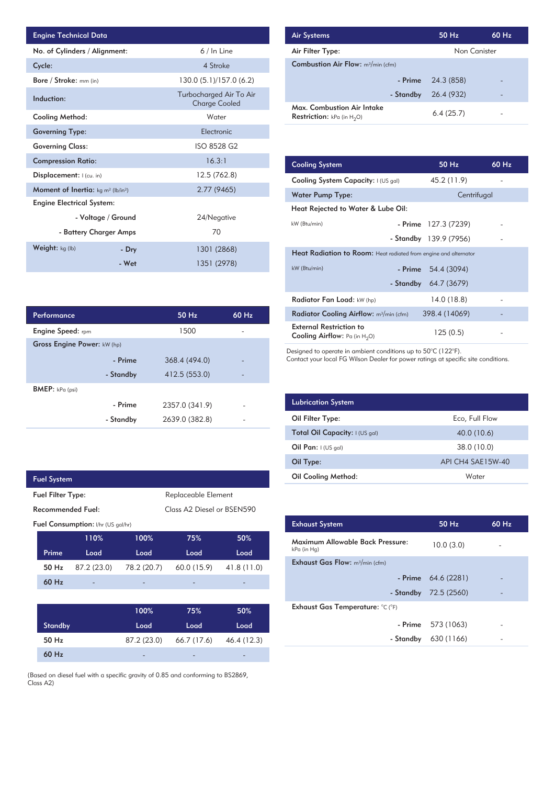| <b>Engine Technical Data</b>                                |                    |                                                 | <b>Air Systems</b>  |
|-------------------------------------------------------------|--------------------|-------------------------------------------------|---------------------|
| No. of Cylinders / Alignment:                               |                    | 6 / In Line                                     | Air Filter Ty       |
| Cycle:                                                      |                    | 4 Stroke                                        | Combustion          |
| Bore / Stroke: mm (in)                                      |                    | 130.0 (5.1)/157.0 (6.2)                         |                     |
| Induction:                                                  |                    | Turbocharged Air To Air<br><b>Charge Cooled</b> | Max. Comb           |
| Cooling Method:                                             |                    | Water                                           | <b>Restriction:</b> |
| <b>Governing Type:</b>                                      |                    | Electronic                                      |                     |
| <b>Governing Class:</b>                                     |                    | ISO 8528 G2                                     |                     |
| <b>Compression Ratio:</b>                                   |                    | 16.3:1                                          | <b>Cooling Sys</b>  |
| Displacement:   (cu. in)                                    |                    | 12.5 (762.8)                                    | <b>Cooling Sys</b>  |
| <b>Moment of Inertia:</b> $kg \, m^2$ (lb/in <sup>2</sup> ) |                    | 2.77 (9465)                                     | Water Pum           |
| <b>Engine Electrical System:</b>                            |                    |                                                 | <b>Heat Reject</b>  |
|                                                             | - Voltage / Ground | 24/Negative                                     |                     |
| - Battery Charger Amps                                      |                    | 70                                              | kW (Btu/min)        |
| Weight: kg (lb)                                             | - Dry              | 1301 (2868)                                     | <b>Heat Radia</b>   |
|                                                             | - Wet              | 1351 (2978)                                     | kW (Btu/min)        |

| <b>Air Systems</b>                                                 | 50 Hz        | 60 Hz |
|--------------------------------------------------------------------|--------------|-------|
| Air Filter Type:                                                   | Non Canister |       |
| <b>Combustion Air Flow:</b> m <sup>3</sup> /min (cfm)              |              |       |
| - Prime                                                            | 24.3 (858)   |       |
| - Standby                                                          | 26.4 (932)   |       |
| Max. Combustion Air Intake<br><b>Restriction:</b> kPa (in $H_2O$ ) | 6.4(25.7)    |       |

| 16.3:1         | <b>Cooling System</b>                                                     | 50 Hz                  | 60 Hz |
|----------------|---------------------------------------------------------------------------|------------------------|-------|
| 12.5 (762.8)   | Cooling System Capacity: I (US gal)                                       | 45.2 (11.9)            |       |
| 2.77 (9465)    | Water Pump Type:                                                          | Centrifugal            |       |
|                | Heat Rejected to Water & Lube Oil:                                        |                        |       |
| 24/Negative    | kW (Btu/min)                                                              | $-$ Prime 127.3 (7239) |       |
| 70             |                                                                           | - Standby 139.9 (7956) |       |
| 1301 (2868)    | <b>Heat Radiation to Room:</b> Heat radiated from engine and alternator   |                        |       |
| 1351 (2978)    | kW (Btu/min)                                                              | - Prime $54.4(3094)$   |       |
|                | - Standby                                                                 | 64.7 (3679)            |       |
|                | Radiator Fan Load: kW (hp)                                                | 14.0(18.8)             |       |
| 60 Hz<br>50 Hz | Radiator Cooling Airflow: m <sup>3</sup> /min (cfm)                       | 398.4 (14069)          |       |
| 1500           | <b>External Restriction to</b><br><b>Cooling Airflow:</b> Pa (in $H_2O$ ) | 125 (0.5)              |       |

Designed to operate in ambient conditions up to 50°C (122°F).

Contact your local FG Wilson Dealer for power ratings at specific site conditions.

| <b>Lubrication System</b>      |                   |
|--------------------------------|-------------------|
| Oil Filter Type:               | Eco, Full Flow    |
| Total Oil Capacity: I (US gal) | 40.0 (10.6)       |
| Oil Pan: $I(US gal)$           | 38.0 (10.0)       |
| Oil Type:                      | API CH4 SAE15W-40 |
| <b>Oil Cooling Method:</b>     | Water             |

| <b>Exhaust System</b>                           | $50$ Hz                | 60 Hz |
|-------------------------------------------------|------------------------|-------|
| Maximum Allowable Back Pressure:<br>kPa (in Hg) | 10.0(3.0)              |       |
| <b>Exhaust Gas Flow:</b> $m^3/m$ in (cfm)       |                        |       |
|                                                 | - Prime 64.6 (2281)    |       |
|                                                 | - Standby $72.5(2560)$ |       |
| Exhaust Gas Temperature: °C (°F)                |                        |       |
|                                                 | - Prime 573 (1063)     |       |
| - Standby                                       | 630 (1166)             |       |
|                                                 |                        |       |

| Prime | Load        | Load        | Load                     | Load       |
|-------|-------------|-------------|--------------------------|------------|
| 50 Hz | 87.2 (23.0) | 78.2 (20.7) | 60.0 (15.9)              | 41.8(11.0) |
| 60 Hz | -           | -           | $\overline{\phantom{0}}$ | -          |
|       |             |             |                          |            |
|       |             | 100%        | 75%                      | 50%        |
|       |             |             |                          |            |

| Standby | Load        | Load                     | Load                     |
|---------|-------------|--------------------------|--------------------------|
| 50 Hz   | 87.2 (23.0) | 66.7 (17.6) 46.4 (12.3)  |                          |
| $60$ Hz | -           | $\overline{\phantom{0}}$ | $\overline{\phantom{0}}$ |

(Based on diesel fuel with a specific gravity of 0.85 and conforming to BS2869,  $(B_0)$ <br>Clo

| Performance                 |           | 50 Hz          | $60$ Hz |
|-----------------------------|-----------|----------------|---------|
| <b>Engine Speed:</b> rpm    |           | 1500           |         |
| Gross Engine Power: kW (hp) |           |                |         |
|                             | - Prime   | 368.4 (494.0)  |         |
|                             | - Standby | 412.5 (553.0)  |         |
| <b>BMEP:</b> kPa (psi)      |           |                |         |
|                             | - Prime   | 2357.0 (341.9) |         |
|                             | - Standby | 2639.0 (382.8) |         |

|                                    | <b>Fuel System</b>       |             |             |                                        |             |  |  |
|------------------------------------|--------------------------|-------------|-------------|----------------------------------------|-------------|--|--|
|                                    | <b>Fuel Filter Type:</b> |             |             | Replaceable Element                    |             |  |  |
| Recommended Fuel:                  |                          |             |             | Class A <sub>2</sub> Diesel or BSEN590 |             |  |  |
| Fuel Consumption: I/hr (US gal/hr) |                          |             |             |                                        |             |  |  |
|                                    |                          | 110%        | 100%        | 75%                                    | 50%         |  |  |
|                                    | Prime                    | Load        | Load        | Load                                   | Load        |  |  |
|                                    | 50 Hz                    | 87.2 (23.0) | 78.2 (20.7) | 60.0 (15.9)                            | 41.8 (11.0) |  |  |
|                                    | $60$ Hz                  |             |             |                                        |             |  |  |
|                                    |                          |             |             |                                        |             |  |  |

| $-111115$ | 2001.00071.77  |   |
|-----------|----------------|---|
| - Standby | 2639.0 (382.8) | - |
|           |                |   |
|           |                |   |
|           |                |   |

|         | ased on diesel fuel with a specific gravity of 0.85 and conforming to BS2869, |  |  |
|---------|-------------------------------------------------------------------------------|--|--|
| ass A2) |                                                                               |  |  |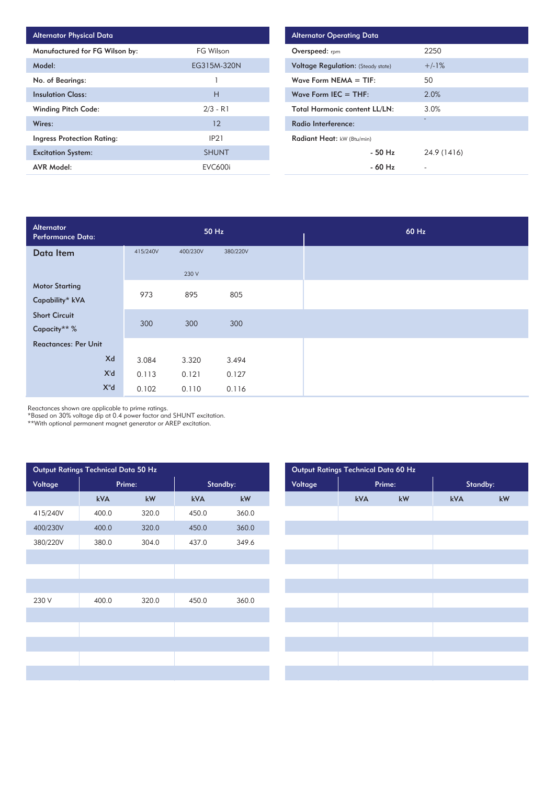| <b>Alternator Physical Data</b> |                |
|---------------------------------|----------------|
| Manufactured for FG Wilson by:  | FG Wilson      |
| Model:                          | EG315M-320N    |
| No. of Bearings:                |                |
| <b>Insulation Class:</b>        | н              |
| <b>Winding Pitch Code:</b>      | $2/3 - R1$     |
| Wires:                          | 12             |
| Ingress Protection Rating:      | IP21           |
| <b>Excitation System:</b>       | <b>SHUNT</b>   |
| <b>AVR Model:</b>               | <b>EVC600i</b> |

| <b>Alternator Operating Data</b>          |             |  |  |  |  |  |  |
|-------------------------------------------|-------------|--|--|--|--|--|--|
| Overspeed: rpm                            | 2250        |  |  |  |  |  |  |
| <b>Voltage Regulation: (Steady state)</b> | $+/-1%$     |  |  |  |  |  |  |
| Wave Form $NEMA = TIF:$                   | 50          |  |  |  |  |  |  |
| Wave Form IEC $=$ THF:                    | 2.0%        |  |  |  |  |  |  |
| <b>Total Harmonic content LL/LN:</b>      | 3.0%        |  |  |  |  |  |  |
| Radio Interference:                       | -           |  |  |  |  |  |  |
| Radiant Heat: kW (Btu/min)                |             |  |  |  |  |  |  |
| $-50$ H <sub>z</sub>                      | 24.9 (1416) |  |  |  |  |  |  |
| $-60$ Hz                                  |             |  |  |  |  |  |  |

| Alternator<br><b>Performance Data:</b> |          | 50 Hz    |          |  |
|----------------------------------------|----------|----------|----------|--|
| Data Item                              | 415/240V | 400/230V | 380/220V |  |
|                                        |          | 230 V    |          |  |
| <b>Motor Starting</b>                  | 973      | 895      | 805      |  |
| Capability* kVA                        |          |          |          |  |
| <b>Short Circuit</b>                   | 300      | 300      | 300      |  |
| Capacity** %                           |          |          |          |  |
| <b>Reactances: Per Unit</b>            |          |          |          |  |
| Xd                                     | 3.084    | 3.320    | 3.494    |  |
| X'd                                    | 0.113    | 0.121    | 0.127    |  |
| $X^{\prime\prime}$ d                   | 0.102    | 0.110    | 0.116    |  |

Reactances shown are applicable to prime ratings.

\*Based on 30% voltage dip at 0.4 power factor and SHUNT excitation.

\*\*With optional permanent magnet generator or AREP excitation.

|          | Output Ratings Technical Data 50 Hz |                        |       |                        |         |     | Output Ratings Technical Data 60 Hz |          |
|----------|-------------------------------------|------------------------|-------|------------------------|---------|-----|-------------------------------------|----------|
| Voltage  | Prime:                              |                        |       | Standby:               | Voltage |     | Prime:                              | Standby: |
|          | kVA                                 | $\mathsf{k}\mathsf{W}$ | kVA   | $\mathsf{k}\mathsf{W}$ |         | kVA | kW                                  | kVA      |
| 415/240V | 400.0                               | 320.0                  | 450.0 | 360.0                  |         |     |                                     |          |
| 400/230V | 400.0                               | 320.0                  | 450.0 | 360.0                  |         |     |                                     |          |
| 380/220V | 380.0                               | 304.0                  | 437.0 | 349.6                  |         |     |                                     |          |
|          |                                     |                        |       |                        |         |     |                                     |          |
|          |                                     |                        |       |                        |         |     |                                     |          |
|          |                                     |                        |       |                        |         |     |                                     |          |
| 230 V    | 400.0                               | 320.0                  | 450.0 | 360.0                  |         |     |                                     |          |
|          |                                     |                        |       |                        |         |     |                                     |          |
|          |                                     |                        |       |                        |         |     |                                     |          |
|          |                                     |                        |       |                        |         |     |                                     |          |
|          |                                     |                        |       |                        |         |     |                                     |          |
|          |                                     |                        |       |                        |         |     |                                     |          |
|          |                                     |                        |       |                        |         |     |                                     |          |